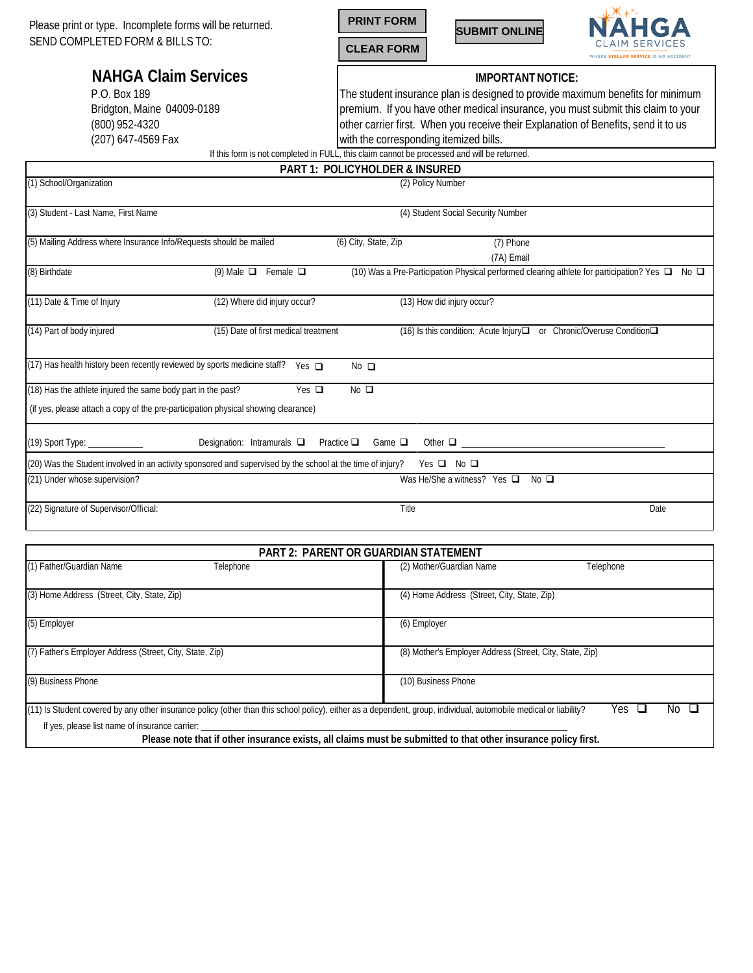Please print or type. Incomplete forms will be returned. SEND COMPLETED FORM & BILLS TO:







## **NAHGA Claim Services**

P.O. Box 189 Bridgton, Maine 04009-0189 (800) 952-4320 (207) 647-4569 Fax

## **IMPORTANT NOTICE:**

The student insurance plan is designed to provide maximum benefits for minimum premium. If you have other medical insurance, you must submit this claim to your other carrier first. When you receive their Explanation of Benefits, send it to us with the corresponding itemized bills.

If this form is not completed in FULL, this claim cannot be processed and will be returned.

|                                                                                                            |                                      | <b>PART 1: POLICYHOLDER &amp; INSURED</b> |                                                     |                                                                                                |
|------------------------------------------------------------------------------------------------------------|--------------------------------------|-------------------------------------------|-----------------------------------------------------|------------------------------------------------------------------------------------------------|
| (1) School/Organization                                                                                    |                                      |                                           | (2) Policy Number                                   |                                                                                                |
| (3) Student - Last Name, First Name                                                                        |                                      |                                           | (4) Student Social Security Number                  |                                                                                                |
| (5) Mailing Address where Insurance Info/Requests should be mailed                                         |                                      | (6) City, State, Zip                      | (7) Phone<br>(7A) Email                             |                                                                                                |
| (8) Birthdate                                                                                              | (9) Male $\Box$ Female $\Box$        |                                           |                                                     | (10) Was a Pre-Participation Physical performed clearing athlete for participation? Yes □ No □ |
| (11) Date & Time of Injury                                                                                 | (12) Where did injury occur?         |                                           | (13) How did injury occur?                          |                                                                                                |
| (14) Part of body injured                                                                                  | (15) Date of first medical treatment |                                           | $(16)$ Is this condition: Acute Injury $\Box$       | or Chronic/Overuse Condition□                                                                  |
| (17) Has health history been recently reviewed by sports medicine staff?                                   | Yes $\Box$                           | $No$ $\Box$                               |                                                     |                                                                                                |
| (18) Has the athlete injured the same body part in the past?                                               | Yes $\Box$                           | $No$ $\square$                            |                                                     |                                                                                                |
| (if yes, please attach a copy of the pre-participation physical showing clearance)                         |                                      |                                           |                                                     |                                                                                                |
| (19) Sport Type: _____________                                                                             | Designation: Intramurals $\square$   | Practice $\square$<br>Game $\square$      | Other $\Box$                                        |                                                                                                |
| (20) Was the Student involved in an activity sponsored and supervised by the school at the time of injury? |                                      |                                           | Yes $\Box$ No $\Box$                                |                                                                                                |
| (21) Under whose supervision?                                                                              |                                      |                                           | Was He/She a witness? Yes $\Box$<br>No <sub>o</sub> |                                                                                                |
| (22) Signature of Supervisor/Official:                                                                     |                                      | Title                                     |                                                     | Date                                                                                           |

|                                                          | <b>PART 2: PARENT OR GUARDIAN STATEMENT</b> |                                                                                                                                                                                  |  |  |  |
|----------------------------------------------------------|---------------------------------------------|----------------------------------------------------------------------------------------------------------------------------------------------------------------------------------|--|--|--|
| (1) Father/Guardian Name                                 | Telephone                                   | (2) Mother/Guardian Name<br>Telephone                                                                                                                                            |  |  |  |
| (3) Home Address (Street, City, State, Zip)              |                                             | (4) Home Address (Street, City, State, Zip)                                                                                                                                      |  |  |  |
| (5) Employer                                             |                                             | (6) Employer                                                                                                                                                                     |  |  |  |
| (7) Father's Employer Address (Street, City, State, Zip) |                                             | (8) Mother's Employer Address (Street, City, State, Zip)                                                                                                                         |  |  |  |
| (9) Business Phone                                       |                                             | (10) Business Phone                                                                                                                                                              |  |  |  |
|                                                          |                                             | (11) Is Student covered by any other insurance policy (other than this school policy), either as a dependent, group, individual, automobile medical or liability?<br>Yes.<br>NC. |  |  |  |
| If yes, please list name of insurance carrier:           |                                             |                                                                                                                                                                                  |  |  |  |
|                                                          |                                             | Please note that if other insurance exists, all claims must be submitted to that other insurance policy first.                                                                   |  |  |  |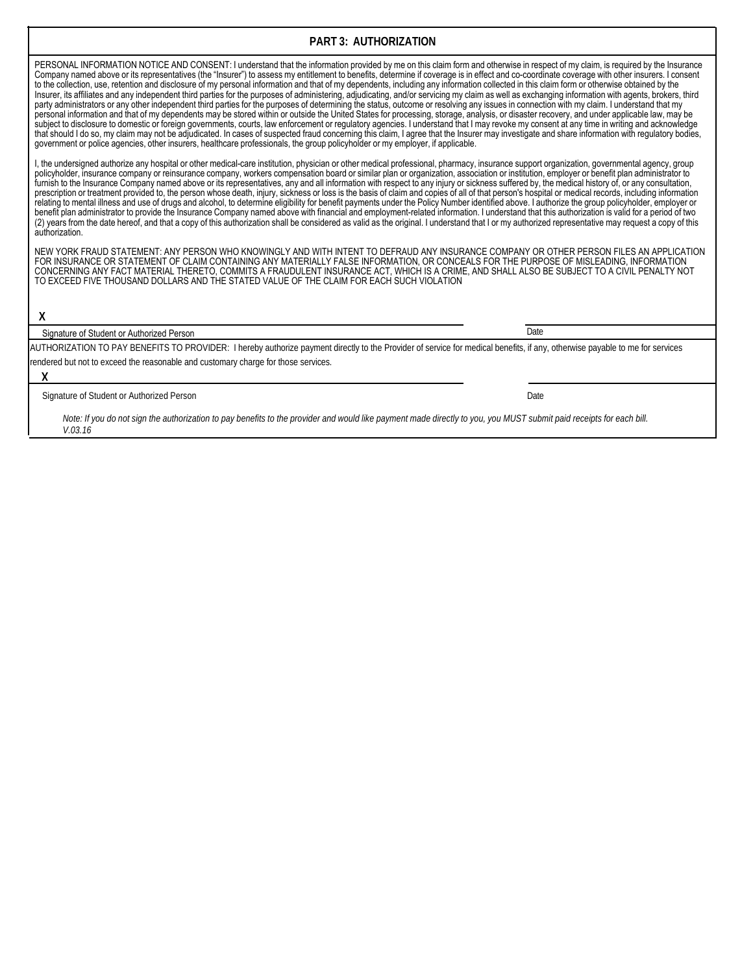## **PART 3: AUTHORIZATION**

PERSONAL INFORMATION NOTICE AND CONSENT: I understand that the information provided by me on this claim form and otherwise in respect of my claim, is required by the Insurance Company named above or its representatives (the "Insurer") to assess my entitlement to benefits, determine if coverage is in effect and co-coordinate coverage with other insurers. I consent to the collection, use, retention and disclosure of my personal information and that of my dependents, including any information collected in this claim form or otherwise obtained by the Insurer, its affiliates and any independent third parties for the purposes of administering, adjudicating, and/or servicing my claim as well as exchanging information with agents, brokers, third party administrators or any other independent third parties for the purposes of determining the status, outcome or resolving any issues in connection with my claim. I understand that my personal information and that of my dependents may be stored within or outside the United States for processing, storage, analysis, or disaster recovery, and under applicable law, may be subject to disclosure to domestic or foreign governments, courts, law enforcement or regulatory agencies. I understand that I may revoke my consent at any time in writing and acknowledge that should I do so, my claim may not be adjudicated. In cases of suspected fraud concerning this claim, I agree that the Insurer may investigate and share information with regulatory bodies, government or police agencies, other insurers, healthcare professionals, the group policyholder or my employer, if applicable.

I, the undersigned authorize any hospital or other medical-care institution, physician or other medical professional, pharmacy, insurance support organization, governmental agency, group policyholder, insurance company or reinsurance company, workers compensation board or similar plan or organization, association or institution, employer or benefit plan administrator to furnish to the Insurance Company named above or its representatives, any and all information with respect to any injury or sickness suffered by, the medical history of, or any consultation, prescription or treatment provided to, the person whose death, injury, sickness or loss is the basis of claim and copies of all of that person's hospital or medical records, including information relating to mental illness and use of drugs and alcohol, to determine eligibility for benefit payments under the Policy Number identified above. I authorize the group policyholder, employer or benefit plan administrator to provide the Insurance Company named above with financial and employment-related information. I understand that this authorization is valid for a period of two (2) years from the date hereof, and that a copy of this authorization shall be considered as valid as the original. I understand that I or my authorized representative may request a copy of this authorization.

NEW YORK FRAUD STATEMENT: ANY PERSON WHO KNOWINGLY AND WITH INTENT TO DEFRAUD ANY INSURANCE COMPANY OR OTHER PERSON FILES AN APPLICATION FOR INSURANCE OR STATEMENT OF CLAIM CONTAINING ANY MATERIALLY FALSE INFORMATION, OR CONCEALS FOR THE PURPOSE OF MISLEADING, INFORMATION CONCERNING ANY FACT MATERIAL THERETO, COMMITS A FRAUDULENT INSURANCE ACT, WHICH IS A CRIME, AND SHALL ALSO BE SUBJECT TO A CIVIL PENALTY NOT TO EXCEED FIVE THOUSAND DOLLARS AND THE STATED VALUE OF THE CLAIM FOR EACH SUCH VIOLATION

**X**

Signature of Student or Authorized Person

AUTHORIZATION TO PAY BENEFITS TO PROVIDER: I hereby authorize payment directly to the Provider of service for medical benefits, if any, otherwise payable to me for services rendered but not to exceed the reasonable and customary charge for those services.

**X**

Signature of Student or Authorized Person Date

*Note: If you do not sign the authorization to pay benefits to the provider and would like payment made directly to you, you MUST submit paid receipts for each bill. V.03.16*

Date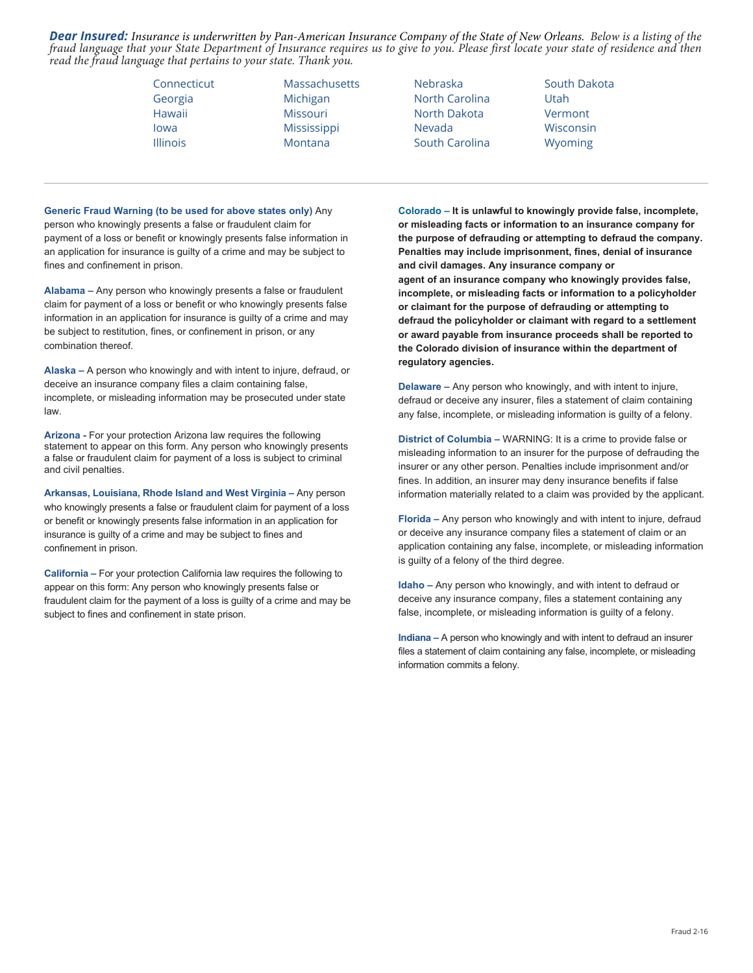*Dear Insured: Insurance is underwritten by Pan-American Insurance Company of the State of New Orleans. Below is a listing of the fraud language that your State Department of Insurance requires us to give to you. Please first locate your state of residence and then read the fraud language that pertains to your state. Thank you.*

| Connecticut     |  |
|-----------------|--|
| Georgia         |  |
| Hawaii          |  |
| lowa            |  |
| <b>Illinois</b> |  |

Massachusetts Michigan Missouri **Mississippi** Montana

Nebraska North Carolina North Dakota Nevada South Carolina

South Dakota Utah Vermont Wisconsin Wyoming

**Generic Fraud Warning (to be used for above states only)** Any person who knowingly presents a false or fraudulent claim for payment of a loss or benefit or knowingly presents false information in an application for insurance is guilty of a crime and may be subject to fines and confinement in prison.

**Alabama –** Any person who knowingly presents a false or fraudulent claim for payment of a loss or benefit or who knowingly presents false information in an application for insurance is guilty of a crime and may be subject to restitution, fines, or confinement in prison, or any combination thereof.

**Alaska –** A person who knowingly and with intent to injure, defraud, or deceive an insurance company files a claim containing false, incomplete, or misleading information may be prosecuted under state law.

**Arizona -** For your protection Arizona law requires the following statement to appear on this form. Any person who knowingly presents a false or fraudulent claim for payment of a loss is subject to criminal and civil penalties.

**Arkansas, Louisiana, Rhode Island and West Virginia –** Any person who knowingly presents a false or fraudulent claim for payment of a loss or benefit or knowingly presents false information in an application for insurance is guilty of a crime and may be subject to fines and confinement in prison.

**California –** For your protection California law requires the following to appear on this form: Any person who knowingly presents false or fraudulent claim for the payment of a loss is guilty of a crime and may be subject to fines and confinement in state prison.

**Colorado – It is unlawful to knowingly provide false, incomplete, or misleading facts or information to an insurance company for the purpose of defrauding or attempting to defraud the company. Penalties may include imprisonment, fines, denial of insurance and civil damages. Any insurance company or agent of an insurance company who knowingly provides false, incomplete, or misleading facts or information to a policyholder or claimant for the purpose of defrauding or attempting to defraud the policyholder or claimant with regard to a settlement or award payable from insurance proceeds shall be reported to the Colorado division of insurance within the department of regulatory agencies.**

**Delaware –** Any person who knowingly, and with intent to injure, defraud or deceive any insurer, files a statement of claim containing any false, incomplete, or misleading information is guilty of a felony.

**District of Columbia –** WARNING: It is a crime to provide false or misleading information to an insurer for the purpose of defrauding the insurer or any other person. Penalties include imprisonment and/or fines. In addition, an insurer may deny insurance benefits if false information materially related to a claim was provided by the applicant.

**Florida –** Any person who knowingly and with intent to injure, defraud or deceive any insurance company files a statement of claim or an application containing any false, incomplete, or misleading information is guilty of a felony of the third degree.

**Idaho –** Any person who knowingly, and with intent to defraud or deceive any insurance company, files a statement containing any false, incomplete, or misleading information is guilty of a felony.

**Indiana –** A person who knowingly and with intent to defraud an insurer files a statement of claim containing any false, incomplete, or misleading information commits a felony.